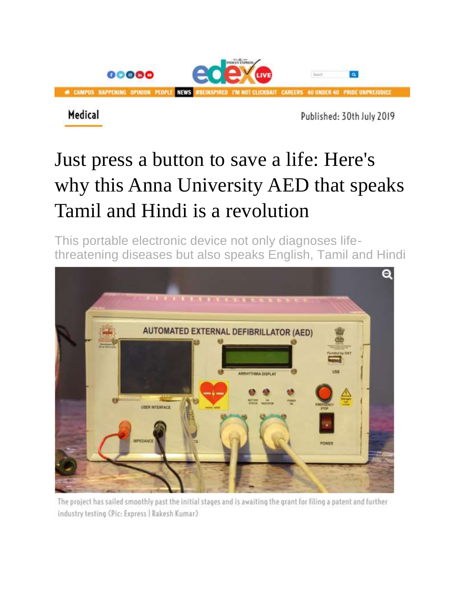

## Just press a button to save a life: Here's why this Anna University AED that speaks Tamil and Hindi is a revolution

This portable electronic device not only diagnoses lifethreatening diseases but also speaks English, Tamil and Hindi



The project has sailed smoothly past the initial stages and is awaiting the grant for filing a patent and further industry testing (Pic: Express | Rakesh Kumar)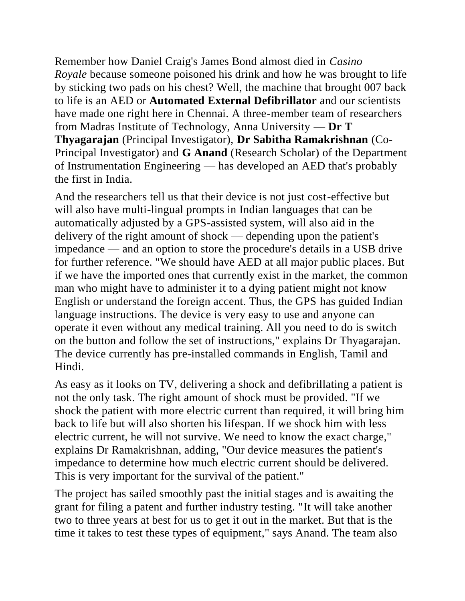Remember how Daniel Craig's James Bond almost died in *Casino Royale* because someone poisoned his drink and how he was brought to life by sticking two pads on his chest? Well, the machine that brought 007 back to life is an AED or **Automated External Defibrillator** and our scientists have made one right here in Chennai. A three-member team of researchers from Madras Institute of Technology, Anna University — **Dr T Thyagarajan** (Principal Investigator), **Dr Sabitha Ramakrishnan** (Co-Principal Investigator) and **G Anand** (Research Scholar) of the Department of Instrumentation Engineering — has developed an AED that's probably the first in India.

And the researchers tell us that their device is not just cost-effective but will also have multi-lingual prompts in Indian languages that can be automatically adjusted by a GPS-assisted system, will also aid in the delivery of the right amount of shock — depending upon the patient's impedance — and an option to store the procedure's details in a USB drive for further reference. "We should have AED at all major public places. But if we have the imported ones that currently exist in the market, the common man who might have to administer it to a dying patient might not know English or understand the foreign accent. Thus, the GPS has guided Indian language instructions. The device is very easy to use and anyone can operate it even without any medical training. All you need to do is switch on the button and follow the set of instructions," explains Dr Thyagarajan. The device currently has pre-installed commands in English, Tamil and Hindi.

As easy as it looks on TV, delivering a shock and defibrillating a patient is not the only task. The right amount of shock must be provided. "If we shock the patient with more electric current than required, it will bring him back to life but will also shorten his lifespan. If we shock him with less electric current, he will not survive. We need to know the exact charge," explains Dr Ramakrishnan, adding, "Our device measures the patient's impedance to determine how much electric current should be delivered. This is very important for the survival of the patient."

The project has sailed smoothly past the initial stages and is awaiting the grant for filing a patent and further industry testing. "It will take another two to three years at best for us to get it out in the market. But that is the time it takes to test these types of equipment," says Anand. The team also